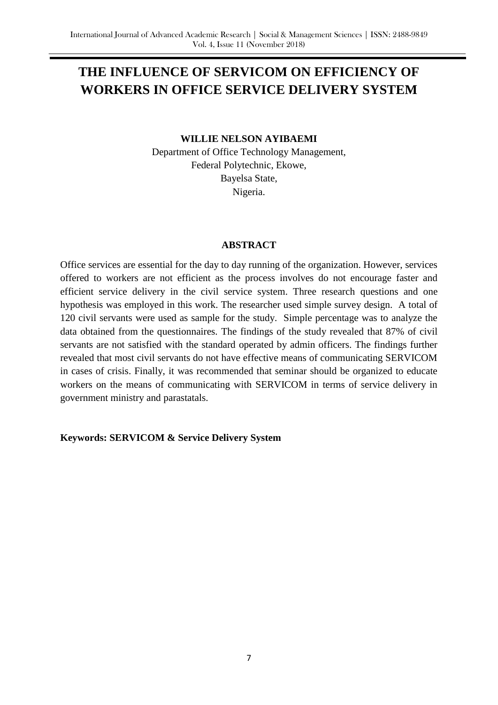# **THE INFLUENCE OF SERVICOM ON EFFICIENCY OF WORKERS IN OFFICE SERVICE DELIVERY SYSTEM**

#### **WILLIE NELSON AYIBAEMI**

Department of Office Technology Management, Federal Polytechnic, Ekowe, Bayelsa State, Nigeria.

#### **ABSTRACT**

Office services are essential for the day to day running of the organization. However, services offered to workers are not efficient as the process involves do not encourage faster and efficient service delivery in the civil service system. Three research questions and one hypothesis was employed in this work. The researcher used simple survey design. A total of 120 civil servants were used as sample for the study. Simple percentage was to analyze the data obtained from the questionnaires. The findings of the study revealed that 87% of civil servants are not satisfied with the standard operated by admin officers. The findings further revealed that most civil servants do not have effective means of communicating SERVICOM in cases of crisis. Finally, it was recommended that seminar should be organized to educate workers on the means of communicating with SERVICOM in terms of service delivery in government ministry and parastatals.

## **Keywords: SERVICOM & Service Delivery System**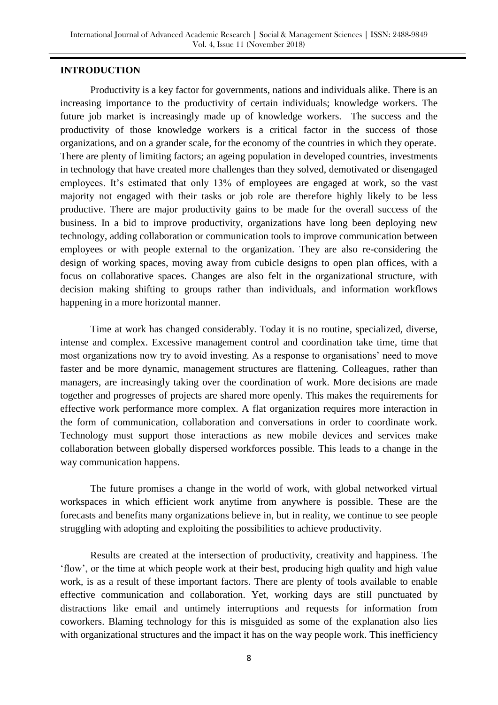## **INTRODUCTION**

Productivity is a key factor for governments, nations and individuals alike. There is an increasing importance to the productivity of certain individuals; knowledge workers. The future job market is increasingly made up of knowledge workers. The success and the productivity of those knowledge workers is a critical factor in the success of those organizations, and on a grander scale, for the economy of the countries in which they operate. There are plenty of limiting factors; an ageing population in developed countries, investments in technology that have created more challenges than they solved, demotivated or disengaged employees. It's estimated that only 13% of employees are engaged at work, so the vast majority not engaged with their tasks or job role are therefore highly likely to be less productive. There are major productivity gains to be made for the overall success of the business. In a bid to improve productivity, organizations have long been deploying new technology, adding collaboration or communication tools to improve communication between employees or with people external to the organization. They are also re-considering the design of working spaces, moving away from cubicle designs to open plan offices, with a focus on collaborative spaces. Changes are also felt in the organizational structure, with decision making shifting to groups rather than individuals, and information workflows happening in a more horizontal manner.

Time at work has changed considerably. Today it is no routine, specialized, diverse, intense and complex. Excessive management control and coordination take time, time that most organizations now try to avoid investing. As a response to organisations" need to move faster and be more dynamic, management structures are flattening. Colleagues, rather than managers, are increasingly taking over the coordination of work. More decisions are made together and progresses of projects are shared more openly. This makes the requirements for effective work performance more complex. A flat organization requires more interaction in the form of communication, collaboration and conversations in order to coordinate work. Technology must support those interactions as new mobile devices and services make collaboration between globally dispersed workforces possible. This leads to a change in the way communication happens.

The future promises a change in the world of work, with global networked virtual workspaces in which efficient work anytime from anywhere is possible. These are the forecasts and benefits many organizations believe in, but in reality, we continue to see people struggling with adopting and exploiting the possibilities to achieve productivity.

Results are created at the intersection of productivity, creativity and happiness. The "flow", or the time at which people work at their best, producing high quality and high value work, is as a result of these important factors. There are plenty of tools available to enable effective communication and collaboration. Yet, working days are still punctuated by distractions like email and untimely interruptions and requests for information from coworkers. Blaming technology for this is misguided as some of the explanation also lies with organizational structures and the impact it has on the way people work. This inefficiency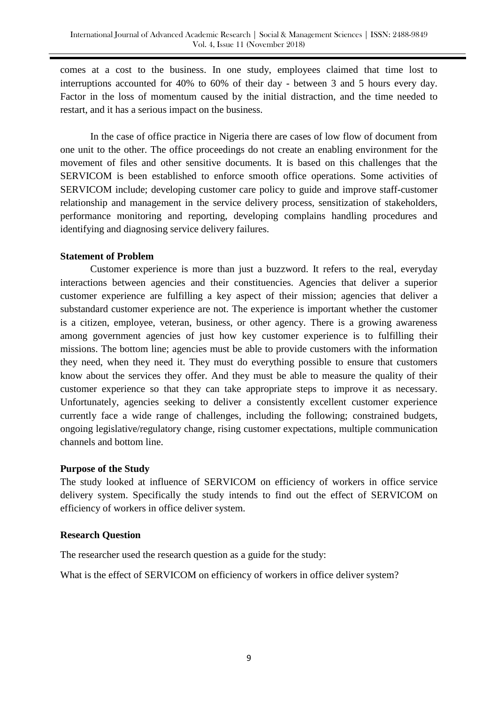comes at a cost to the business. In one study, employees claimed that time lost to interruptions accounted for 40% to 60% of their day - between 3 and 5 hours every day. Factor in the loss of momentum caused by the initial distraction, and the time needed to restart, and it has a serious impact on the business.

In the case of office practice in Nigeria there are cases of low flow of document from one unit to the other. The office proceedings do not create an enabling environment for the movement of files and other sensitive documents. It is based on this challenges that the SERVICOM is been established to enforce smooth office operations. Some activities of SERVICOM include; developing customer care policy to guide and improve staff-customer relationship and management in the service delivery process, sensitization of stakeholders, performance monitoring and reporting, developing complains handling procedures and identifying and diagnosing service delivery failures.

## **Statement of Problem**

Customer experience is more than just a buzzword. It refers to the real, everyday interactions between agencies and their constituencies. Agencies that deliver a superior customer experience are fulfilling a key aspect of their mission; agencies that deliver a substandard customer experience are not. The experience is important whether the customer is a citizen, employee, veteran, business, or other agency. There is a growing awareness among government agencies of just how key customer experience is to fulfilling their missions. The bottom line; agencies must be able to provide customers with the information they need, when they need it. They must do everything possible to ensure that customers know about the services they offer. And they must be able to measure the quality of their customer experience so that they can take appropriate steps to improve it as necessary. Unfortunately, agencies seeking to deliver a consistently excellent customer experience currently face a wide range of challenges, including the following; constrained budgets, ongoing legislative/regulatory change, rising customer expectations, multiple communication channels and bottom line.

#### **Purpose of the Study**

The study looked at influence of SERVICOM on efficiency of workers in office service delivery system. Specifically the study intends to find out the effect of SERVICOM on efficiency of workers in office deliver system.

## **Research Question**

The researcher used the research question as a guide for the study:

What is the effect of SERVICOM on efficiency of workers in office deliver system?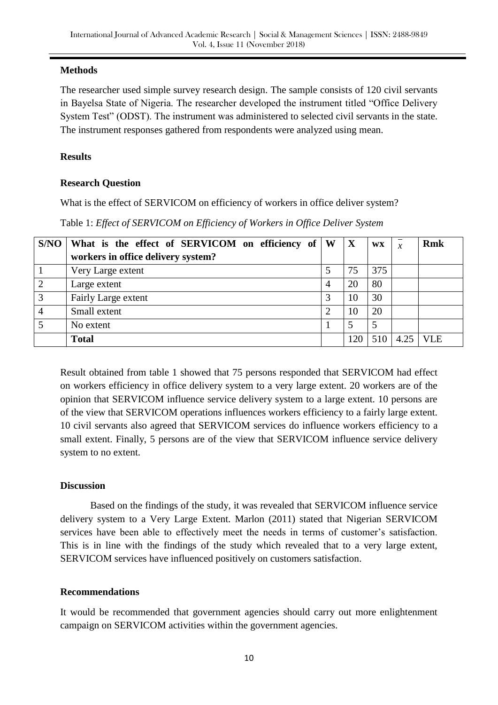# **Methods**

The researcher used simple survey research design. The sample consists of 120 civil servants in Bayelsa State of Nigeria. The researcher developed the instrument titled "Office Delivery System Test" (ODST). The instrument was administered to selected civil servants in the state. The instrument responses gathered from respondents were analyzed using mean.

# **Results**

# **Research Question**

What is the effect of SERVICOM on efficiency of workers in office deliver system?

| Table 1: Effect of SERVICOM on Efficiency of Workers in Office Deliver System |  |  |  |  |
|-------------------------------------------------------------------------------|--|--|--|--|
|-------------------------------------------------------------------------------|--|--|--|--|

| S/NO | What is the effect of SERVICOM on efficiency of | W | X   | WX  | $\mathcal{X}$ | <b>Rmk</b> |
|------|-------------------------------------------------|---|-----|-----|---------------|------------|
|      | workers in office delivery system?              |   |     |     |               |            |
|      | Very Large extent                               |   | 75  | 375 |               |            |
|      | Large extent                                    | 4 | 20  | 80  |               |            |
| 3    | Fairly Large extent                             |   | 10  | 30  |               |            |
| 4    | Small extent                                    | റ | 10  | 20  |               |            |
| 5    | No extent                                       |   |     |     |               |            |
|      | <b>Total</b>                                    |   | 120 | 510 | 4.25          | <b>VLE</b> |

Result obtained from table 1 showed that 75 persons responded that SERVICOM had effect on workers efficiency in office delivery system to a very large extent. 20 workers are of the opinion that SERVICOM influence service delivery system to a large extent. 10 persons are of the view that SERVICOM operations influences workers efficiency to a fairly large extent. 10 civil servants also agreed that SERVICOM services do influence workers efficiency to a small extent. Finally, 5 persons are of the view that SERVICOM influence service delivery system to no extent.

# **Discussion**

Based on the findings of the study, it was revealed that SERVICOM influence service delivery system to a Very Large Extent. Marlon (2011) stated that Nigerian SERVICOM services have been able to effectively meet the needs in terms of customer's satisfaction. This is in line with the findings of the study which revealed that to a very large extent, SERVICOM services have influenced positively on customers satisfaction.

## **Recommendations**

It would be recommended that government agencies should carry out more enlightenment campaign on SERVICOM activities within the government agencies.